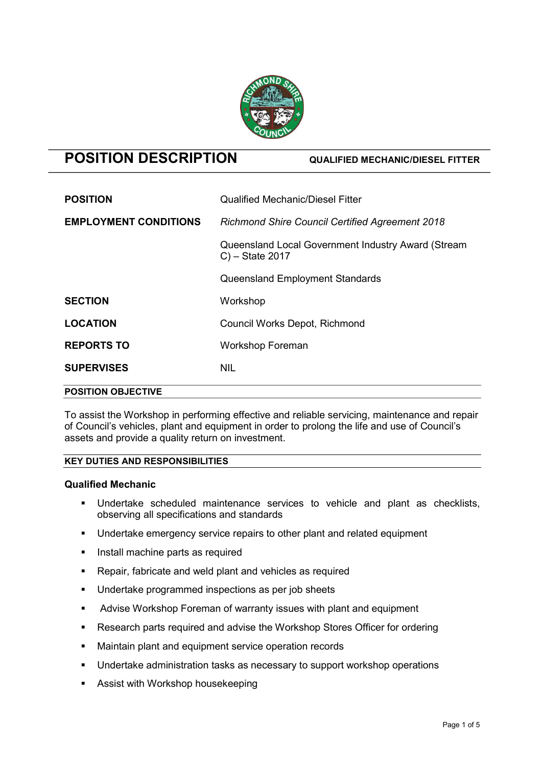

# POSITION DESCRIPTION QUALIFIED MECHANIC/DIESEL FITTER

| <b>LOCATION</b>              | Council Works Depot, Richmond                                            |  |
|------------------------------|--------------------------------------------------------------------------|--|
|                              |                                                                          |  |
| <b>SECTION</b>               | Workshop                                                                 |  |
|                              | <b>Queensland Employment Standards</b>                                   |  |
|                              | Queensland Local Government Industry Award (Stream<br>$C$ ) – State 2017 |  |
| <b>EMPLOYMENT CONDITIONS</b> | <b>Richmond Shire Council Certified Agreement 2018</b>                   |  |
| <b>POSITION</b>              | <b>Qualified Mechanic/Diesel Fitter</b>                                  |  |

To assist the Workshop in performing effective and reliable servicing, maintenance and repair of Council's vehicles, plant and equipment in order to prolong the life and use of Council's assets and provide a quality return on investment.

# KEY DUTIES AND RESPONSIBILITIES

# Qualified Mechanic

- Undertake scheduled maintenance services to vehicle and plant as checklists, observing all specifications and standards
- Undertake emergency service repairs to other plant and related equipment
- **Install machine parts as required**
- Repair, fabricate and weld plant and vehicles as required
- **Undertake programmed inspections as per job sheets**
- Advise Workshop Foreman of warranty issues with plant and equipment
- Research parts required and advise the Workshop Stores Officer for ordering
- **Maintain plant and equipment service operation records**
- **Undertake administration tasks as necessary to support workshop operations**
- **Assist with Workshop housekeeping**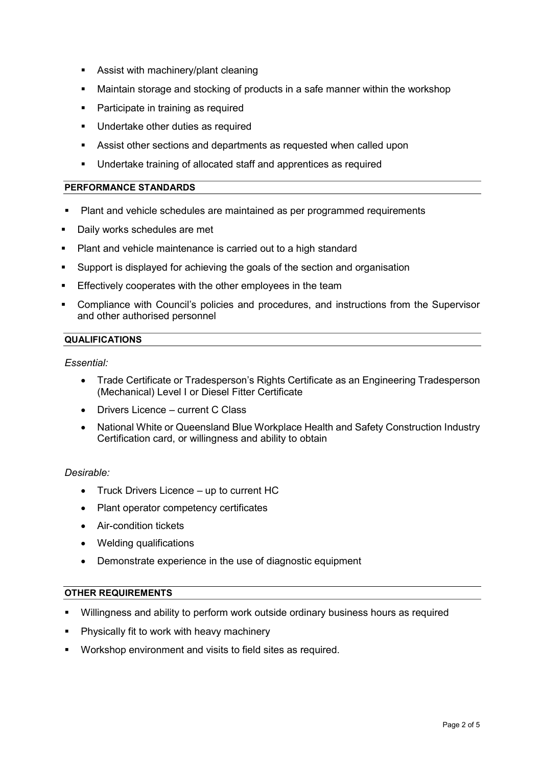- **Assist with machinery/plant cleaning**
- Maintain storage and stocking of products in a safe manner within the workshop
- Participate in training as required
- **Undertake other duties as required**
- Assist other sections and departments as requested when called upon
- Undertake training of allocated staff and apprentices as required

# PERFORMANCE STANDARDS

- Plant and vehicle schedules are maintained as per programmed requirements
- Daily works schedules are met
- Plant and vehicle maintenance is carried out to a high standard
- Support is displayed for achieving the goals of the section and organisation
- **Effectively cooperates with the other employees in the team**
- Compliance with Council's policies and procedures, and instructions from the Supervisor and other authorised personnel

# **QUALIFICATIONS**

Essential:

- Trade Certificate or Tradesperson's Rights Certificate as an Engineering Tradesperson (Mechanical) Level I or Diesel Fitter Certificate
- Drivers Licence current C Class
- National White or Queensland Blue Workplace Health and Safety Construction Industry Certification card, or willingness and ability to obtain

# Desirable:

- Truck Drivers Licence up to current HC
- Plant operator competency certificates
- Air-condition tickets
- Welding qualifications
- Demonstrate experience in the use of diagnostic equipment

# OTHER REQUIREMENTS

- Willingness and ability to perform work outside ordinary business hours as required
- Physically fit to work with heavy machinery
- Workshop environment and visits to field sites as required.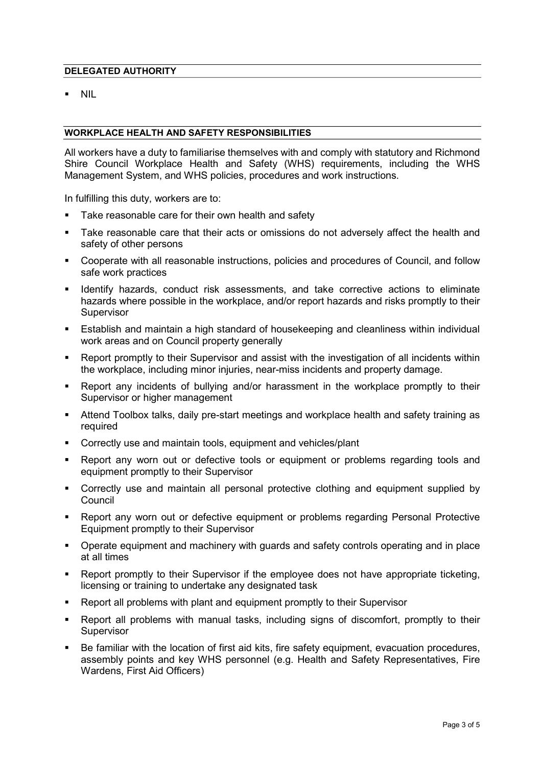# DELEGATED AUTHORITY

NIL

#### WORKPLACE HEALTH AND SAFETY RESPONSIBILITIES

All workers have a duty to familiarise themselves with and comply with statutory and Richmond Shire Council Workplace Health and Safety (WHS) requirements, including the WHS Management System, and WHS policies, procedures and work instructions.

In fulfilling this duty, workers are to:

- Take reasonable care for their own health and safety
- Take reasonable care that their acts or omissions do not adversely affect the health and safety of other persons
- Cooperate with all reasonable instructions, policies and procedures of Council, and follow safe work practices
- Identify hazards, conduct risk assessments, and take corrective actions to eliminate hazards where possible in the workplace, and/or report hazards and risks promptly to their **Supervisor**
- Establish and maintain a high standard of housekeeping and cleanliness within individual work areas and on Council property generally
- Report promptly to their Supervisor and assist with the investigation of all incidents within the workplace, including minor injuries, near-miss incidents and property damage.
- Report any incidents of bullying and/or harassment in the workplace promptly to their Supervisor or higher management
- Attend Toolbox talks, daily pre-start meetings and workplace health and safety training as required
- Correctly use and maintain tools, equipment and vehicles/plant
- Report any worn out or defective tools or equipment or problems regarding tools and equipment promptly to their Supervisor
- Correctly use and maintain all personal protective clothing and equipment supplied by **Council**
- Report any worn out or defective equipment or problems regarding Personal Protective Equipment promptly to their Supervisor
- Operate equipment and machinery with guards and safety controls operating and in place at all times
- Report promptly to their Supervisor if the employee does not have appropriate ticketing, licensing or training to undertake any designated task
- Report all problems with plant and equipment promptly to their Supervisor
- Report all problems with manual tasks, including signs of discomfort, promptly to their Supervisor
- Be familiar with the location of first aid kits, fire safety equipment, evacuation procedures, assembly points and key WHS personnel (e.g. Health and Safety Representatives, Fire Wardens, First Aid Officers)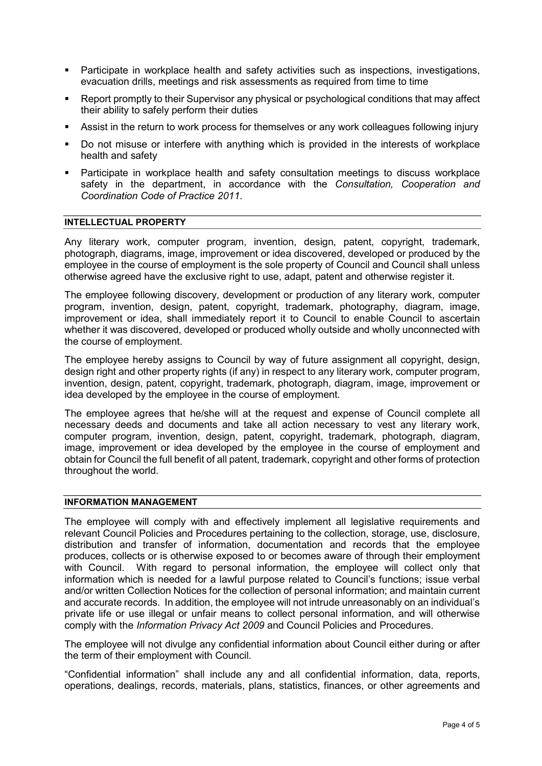- Participate in workplace health and safety activities such as inspections, investigations, evacuation drills, meetings and risk assessments as required from time to time
- Report promptly to their Supervisor any physical or psychological conditions that may affect their ability to safely perform their duties
- Assist in the return to work process for themselves or any work colleagues following injury
- Do not misuse or interfere with anything which is provided in the interests of workplace health and safety
- Participate in workplace health and safety consultation meetings to discuss workplace safety in the department, in accordance with the Consultation, Cooperation and Coordination Code of Practice 2011.

# INTELLECTUAL PROPERTY

Any literary work, computer program, invention, design, patent, copyright, trademark, photograph, diagrams, image, improvement or idea discovered, developed or produced by the employee in the course of employment is the sole property of Council and Council shall unless otherwise agreed have the exclusive right to use, adapt, patent and otherwise register it.

The employee following discovery, development or production of any literary work, computer program, invention, design, patent, copyright, trademark, photography, diagram, image, improvement or idea, shall immediately report it to Council to enable Council to ascertain whether it was discovered, developed or produced wholly outside and wholly unconnected with the course of employment.

The employee hereby assigns to Council by way of future assignment all copyright, design, design right and other property rights (if any) in respect to any literary work, computer program, invention, design, patent, copyright, trademark, photograph, diagram, image, improvement or idea developed by the employee in the course of employment.

The employee agrees that he/she will at the request and expense of Council complete all necessary deeds and documents and take all action necessary to vest any literary work, computer program, invention, design, patent, copyright, trademark, photograph, diagram, image, improvement or idea developed by the employee in the course of employment and obtain for Council the full benefit of all patent, trademark, copyright and other forms of protection throughout the world.

### INFORMATION MANAGEMENT

The employee will comply with and effectively implement all legislative requirements and relevant Council Policies and Procedures pertaining to the collection, storage, use, disclosure, distribution and transfer of information, documentation and records that the employee produces, collects or is otherwise exposed to or becomes aware of through their employment with Council. With regard to personal information, the employee will collect only that information which is needed for a lawful purpose related to Council's functions; issue verbal and/or written Collection Notices for the collection of personal information; and maintain current and accurate records. In addition, the employee will not intrude unreasonably on an individual's private life or use illegal or unfair means to collect personal information, and will otherwise comply with the *Information Privacy Act 2009* and Council Policies and Procedures.

The employee will not divulge any confidential information about Council either during or after the term of their employment with Council.

"Confidential information" shall include any and all confidential information, data, reports, operations, dealings, records, materials, plans, statistics, finances, or other agreements and